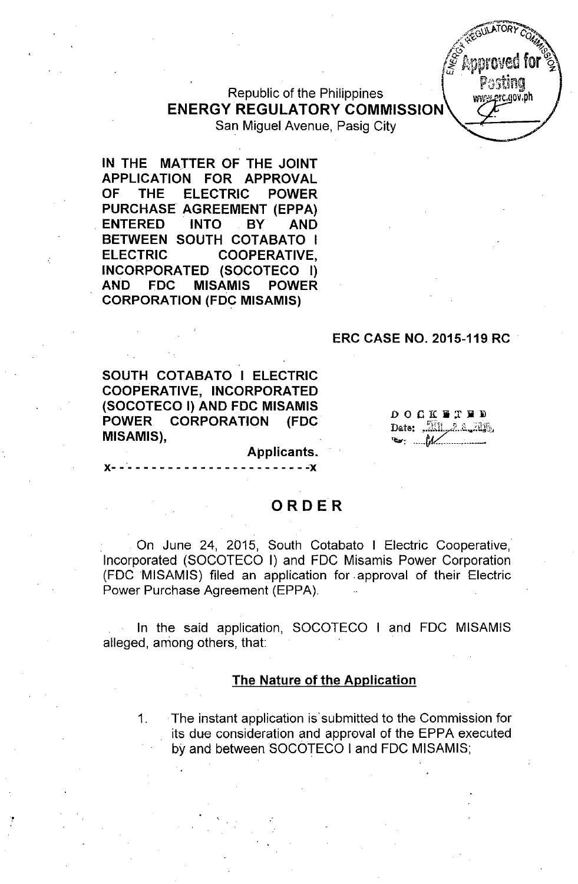Republic of the Philippines **ENERGY REGULATORY COMMISSION**

San Miguel Avenue, Pasig City

**IN THE MATTER OF THE JOINT APPLICATION FOR APPROVAL OF THE ELECTRIC POWER PURCHASE AGREEMENT (EPPA) . ENTERED INTO BY AND BETWEEN SOUTH COTABATO I ELECTRIC COOPERATIVE, INCORPORATED (SOCOTECO I) AND FDC MISAMIS POWER CORPORATION (FDC MISAMIS)**

#### **ERC CASE NO. 2015-119 RC .**

**SOUTH COT ABATO I ELECTRIC COOPERATIVE, INCORPORATED (SOCOTECO I) AND FDC MISAMIS POWER CORPORATION (FDC MISAMIS),**

x-------------------------<mark>-</mark>x

 $\begin{array}{ccccccccccccccccc} 0 & 0 & 0 & 0 & \mathbb{K} & \mathbb{R} & \mathbb{T} & \mathbb{R} & \mathbb{D} & \mathbb{D} & \mathbb{D} & \mathbb{D} & \mathbb{D} & \mathbb{D} & \mathbb{D} & \mathbb{D} & \mathbb{D} & \mathbb{D} & \mathbb{D} & \mathbb{D} & \mathbb{D} & \mathbb{D} & \mathbb{D} & \mathbb{D} & \mathbb{D} & \mathbb{D} & \mathbb{D} & \mathbb{D} & \mathbb{D} & \mathbb{D} & \mathbb{D} & \mathbb{D} & \math$ Date: All 2.a. 2113  $\bullet$  :  $M$ 

Posting www.erc.gov.ph

### **ORDER**

**Applicants.**

On June 24, 2015, South Cotabato I Electric Cooperative, Incorporated (SOCOTECO I) and FOC Misamis Power Corporation (FOC MISAMIS) filed an application for approval of their Electric Power Purchase Agreement (EPPA).

In the said application, SOCOTECO I and FOC MISAMIS alleged, among others, that:

#### **The Nature of the Application**

1. **The** instant application is submitted to the Commission for its due consideration and approval of the EPPA executed by and between SOCOTECO I and FOC MISAMIS;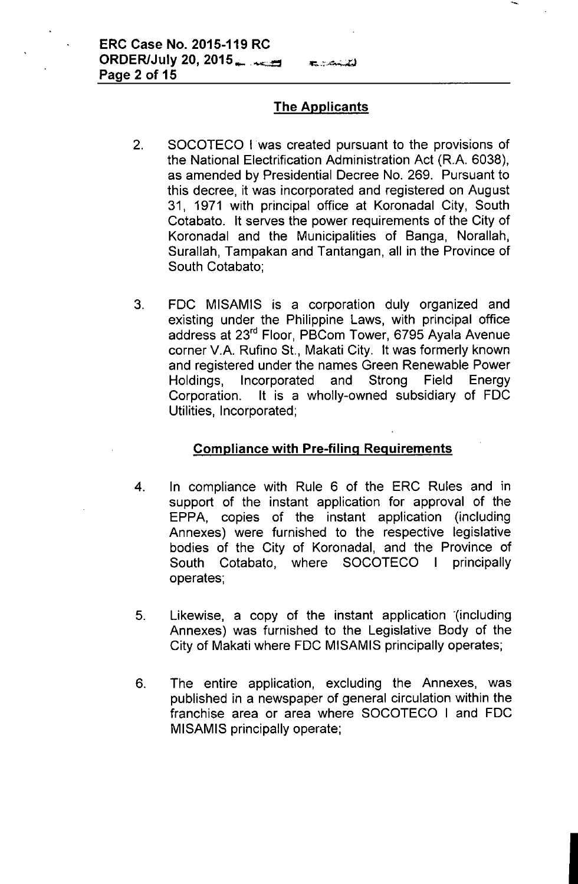## The Applicants

the Council

- 2. SOCOTECO I was created pursuant to the provisions of the National Electrification Administration Act (R.A. 6038), as amended by Presidential Decree No. 269. Pursuant to this decree, it was incorporated and registered on August 31, 1971 with principal office at Koronadal City, South Cotabato. It serves the power requirements of the City of Koronadal and the Municipalities of Banga, Norallah, Surallah, Tampakan and Tantangan, all in the Province of South Cotabato;
- 3. FOC MISAMIS is a corporation duly organized and existing under the Philippine Laws, with principal office address at 23'd Floor, PBCom Tower, 6795 Ayala Avenue corner V.A. Rufino St., Makati City. It was formerly known and registered under the names Green Renewable Power Holdings, Incorporated and Strong Field Energy Corporation. It is a wholly-owned subsidiary of FOC Utilities, Incorporated;

## Compliance with Pre-filing Requirements

- 4. In compliance with Rule 6 of the ERC Rules and in support of the instant application for approval of the EPPA, copies of the instant application (including Annexes) were furnished to the respective legislative bodies of the City of Koronadal, and the Province of South Cotabato, where SOCOTECO I principally operates;
- 5. Likewise, a copy of the instant application '(including Annexes) was furnished to the Legislative Body of the City of Makati where FOC MISAMIS principally operates;
- 6. The entire application, excluding the Annexes, was published in a newspaper of general circulation within the franchise area or area where SOCOTECO I and FOC MISAMIS principally operate;

I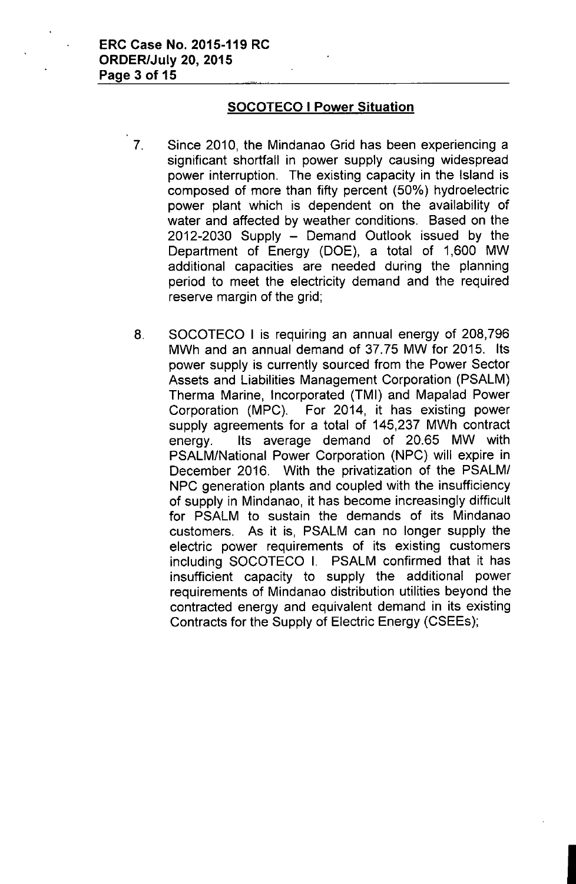## SOCOTECO I Power Situation

- 7. Since 2010, the Mindanao Grid has been experiencing a significant shortfall in power supply causing widespread power interruption. The existing capacity in the Island is composed of more than fifty percent (50%) hydroelectric power plant which is dependent on the availability of water and affected by weather conditions. Based on the  $2012-2030$  Supply  $-$  Demand Outlook issued by the Department of Energy (DOE), a total of 1,600 MW additional capacities are needed during the planning period to meet the electricity demand and the required reserve margin of the grid;
	- 8. SOCOTECO I is requiring an annual energy of 208,796 MWh and an annual demand of 37.75 MW for 2015. Its power supply is currently sourced from the Power Sector Assets and Liabilities Management Corporation (PSALM) Therma Marine, Incorporated (TMI) and Mapalad Power Corporation (MPC). For 2014, it has existing power supply agreements for a total of 145,237 MWh contract energy. Its average demand of 20.65 MW with PSALM/National Power Corporation (NPC) will expire in December 2016. With the privatization of the PSALM/ NPC generation plants and coupled with the insufficiency of supply in Mindanao, it has become increasingly difficult for PSALM to sustain the demands of its Mindanao customers. As it is, PSALM can no longer supply the electric power requirements of its existing customers including SOCOTECO I. PSALM confirmed that it has insufficient capacity to supply the additional power requirements of Mindanao distribution utilities beyond the contracted energy and equivalent demand in its existing Contracts for the Supply of Electric Energy (CSEEs);

I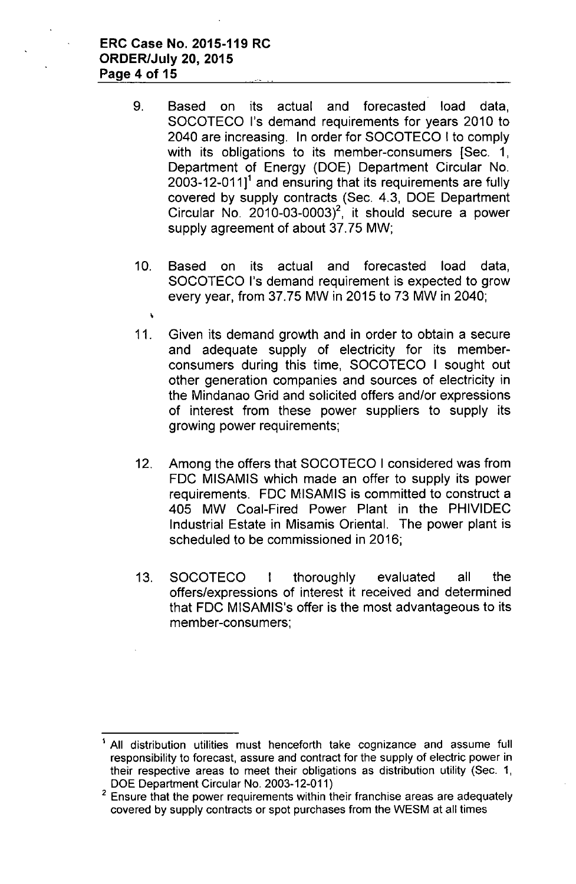#### **ERC Case No. 2015-119 RC ORDER/July 20,2015 Page 4 of 15**

À.

- 9. Based on its actual and forecasted load data, SOCOTECO I's demand requirements for years 2010 to 2040 are increasing. In order for SOCOTECO I to comply with its obligations to its member-consumers [Sec. 1, Department of Energy (DOE) Department Circular No. 2003-12-011 $1^1$  and ensuring that its requirements are fully covered by supply contracts (Sec. 4.3, DOE Department Circular No.  $2010-03-0003)^2$ , it should secure a power supply agreement of about 37.75 MW;
- 10. Based on its actual and forecasted load data, SOCOTECO I's demand requirement is expected to grow every year, from 37.75 MW in 2015 to 73 MW in 2040;
- 11. Given its demand growth and in order to obtain a secure and adequate supply of electricity for its memberconsumers during this time, SOCOTECO I sought out other generation companies and sources of electricity in the Mindanao Grid and solicited offers and/or expressions of interest from these power suppliers to supply its growing power requirements;
- 12. Among the offers that SOCOTECO I considered was from FDC MISAMIS which made an offer to supply its power requirements. FDC MISAMIS is committed to construct a 405 MW Coal-Fired Power Plant in the PHIVIDEC Industrial Estate in Misamis Oriental. The power plant is scheduled to be commissioned in 2016;
- 13. SOCOTECO I thoroughly evaluated all the offers/expressions of interest it received and determined that FDC MISAMIS's offer is the most advantageous to its member-consumers;

All distribution utilities must henceforth take cognizance and assume full responsibility to forecast, assure and contract for the supply of electric power in their respective areas to meet their obligations as distribution utility (Sec. 1, DOE Department Circular No. 2003-12-011)

 $2$  Ensure that the power requirements within their franchise areas are adequately covered by supply contracts or spot purchases from the WESM at all times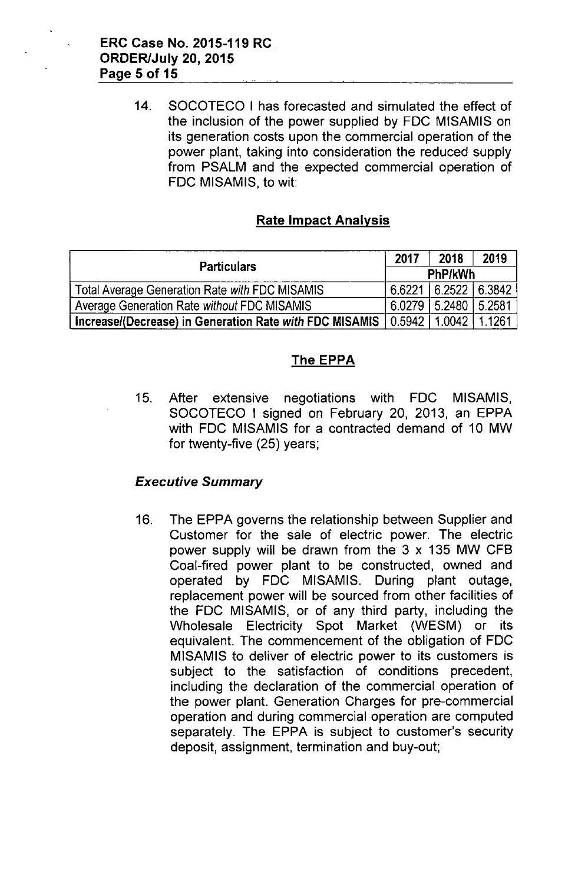14. SOCOTECO I has forecasted and simulated the effect of the inclusion of the power supplied by FOC MISAMIS on its generation costs upon the commercial operation of the power plant, taking into consideration the reduced supply from PSALM and the expected commercial operation of FOC MISAMIS, to wit:

## Rate Impact Analysis

| <b>Particulars</b>                                                        |        | 2018                     | 2019   |
|---------------------------------------------------------------------------|--------|--------------------------|--------|
|                                                                           |        | PhP/kWh                  |        |
| Total Average Generation Rate with FDC MISAMIS                            | 6.6221 | $6.2522$ 6.3842          |        |
| Average Generation Rate without FDC MISAMIS                               |        | 6.0279   5.2480   5.2581 |        |
| Increase/(Decrease) in Generation Rate with FDC MISAMIS   0.5942   1.0042 |        |                          | 1.1261 |

## The EPPA

15. After extensive negotiations with FOC MISAMIS, SOCOTECO I signed on February 20, 2013, an EPPA with FOC MISAMIS for a contracted demand of 10 MW for twenty-five (25) years;

### *Executive Summary*

16. The EPPA governs the relationship between Supplier and Customer for the sale of electric power. The electric power supply will be drawn from the  $3 \times 135$  MW CFB Coal-fired power plant to be constructed, owned and operated by FOC MISAMIS. During plant outage, replacement power will be sourced from other facilities of the FOC MISAMIS, or of any third party, including the Wholesale Electricity Spot Market (WESM) or its equivalent. The commencement of the obligation of FOC MISAMIS to deliver of electric power to its customers is subject to the satisfaction of conditions precedent, including the declaration of the commercial operation of the power plant. Generation Charges for pre-commercial operation and during commercial operation are computed separately. The EPPA is subject to customer's security deposit, assignment, termination and buy-out;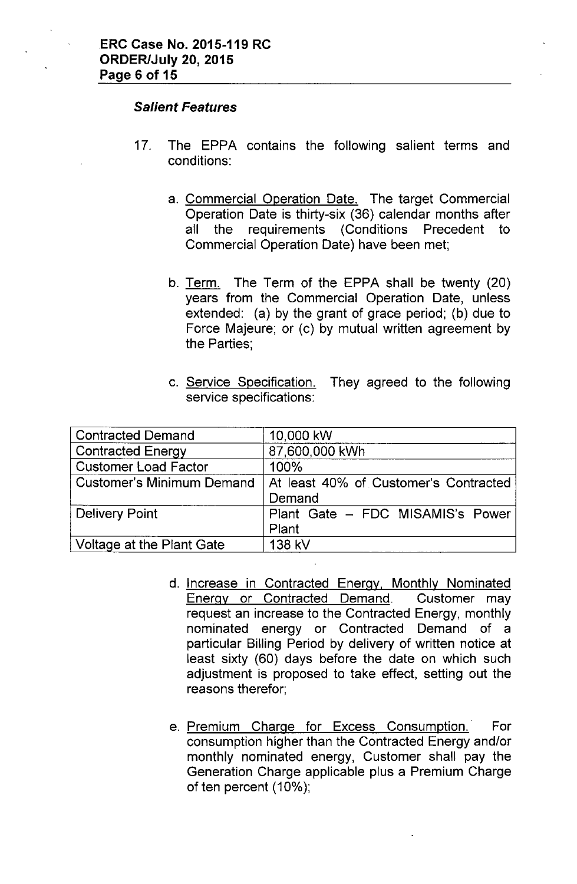#### *Salient Features*

- 17. The EPPA contains the following salient terms and conditions:
	- a. Commercial Operation Date. The target Commercial Operation Date is thirty-six (36) calendar months after all the requirements (Conditions Precedent to Commercial Operation Date) have been met;
	- b. Term. The Term of the EPPA shall be twenty (20) years from the Commercial Operation Date, unless extended: (a) by the grant of grace period; (b) due to Force Majeure; or (c) by mutual written agreement by the Parties;
	- c. Service Specification. They agreed to the following service specifications:

| <b>Contracted Demand</b>         | 10,000 kW                             |  |
|----------------------------------|---------------------------------------|--|
| <b>Contracted Energy</b>         | 87,600,000 kWh                        |  |
| <b>Customer Load Factor</b>      | 100%                                  |  |
| <b>Customer's Minimum Demand</b> | At least 40% of Customer's Contracted |  |
|                                  | Demand                                |  |
| <b>Delivery Point</b>            | Plant Gate - FDC MISAMIS's Power      |  |
|                                  | Plant                                 |  |
| Voltage at the Plant Gate        | 138 kV                                |  |

- d. Increase in Contracted Energy, Monthly Nominated Energy or Contracted Demand. Customer may request an increase to the Contracted Energy, monthly nominated energy or Contracted Demand of a particular Billing Period by delivery of written notice at least sixty (60) days before the date on which such adjustment is proposed to take effect, setting out the reasons therefor;
- e. Premium Charge for Excess Consumption. For consumption higher than the Contracted Energy and/or monthly nominated energy, Customer shall pay the Generation Charge applicable plus a Premium Charge of ten percent (10%);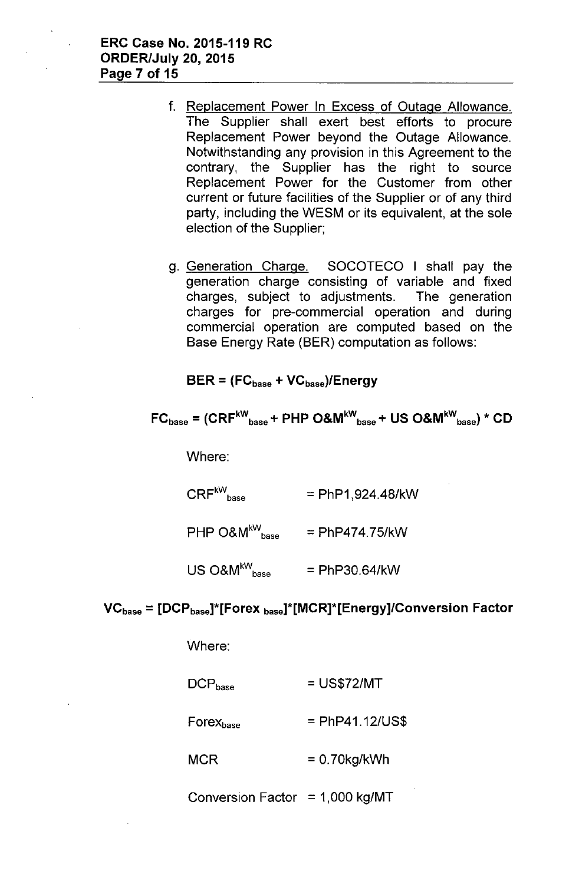- f. Replacement Power In Excess of Outage Allowance. The Supplier shall exert best efforts to procure Replacement Power beyond the Outage Allowance. Notwithstanding any provision in this Agreement to the contrary, the Supplier has the right to source Replacement Power for the Customer from other current or future facilities of the Supplier or of any third party, including the WESM or its equivalent, at the sole election of the Supplier;
- g. Generation Charge. SOCOTECO I shall pay the generation charge consisting of variable and fixed charges, subject to adjustments. The generation charges for pre-commercial operation and during commercial operation are computed based on the Base Energy Rate (BER) computation as follows:

 $BER = (FC_{base} + VC_{base})/Energy$ 

$$
FC_{base} = (CRF^{kW}_{base} + PHP O&W^{kW}_{base} + US O&W^{kW}_{base}) * CD
$$

Where:

 $CRF^{kW}_{base}$  = PhP1,924.48/kW

 $\mathsf{PHP}$  O&M $^{\mathsf{kW}}_{\mathsf{base}}$ = PhP474.75/kW

 $US O&M^{kW}$ <sub>base</sub> = PhP30.64/kW

### $VC<sub>base</sub> = [DCP<sub>base</sub>]<sup>*</sup>[Forest<sub>base</sub>]$ <sup>\*</sup>[ $MCR$ ]<sup>\*</sup>[Energy]/Conversion Factor

Where:

- $DCP_{base}$ = US\$72/MT
- $F$ orex $_{base}$ = PhP41.12/US\$
- MCR = 0.70kg/kWh

Conversion Factor =  $1,000$  kg/MT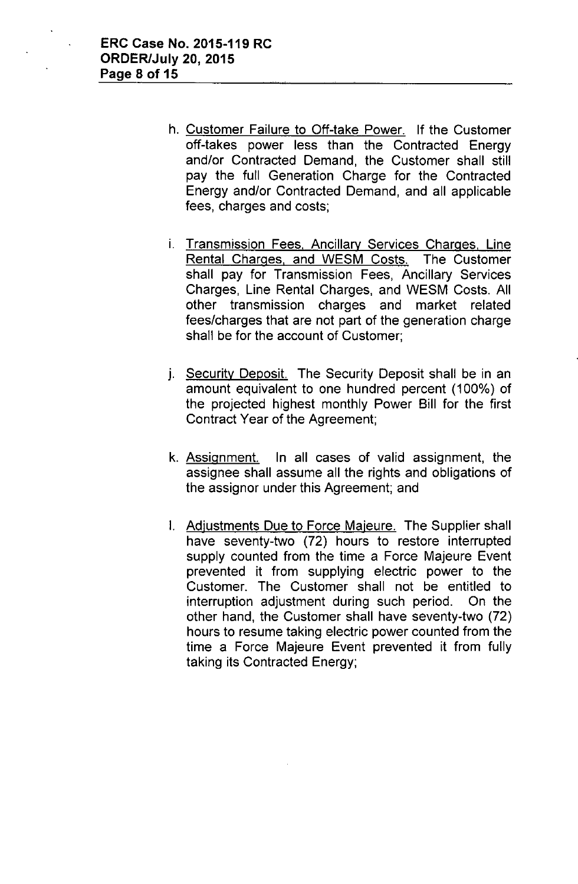- h. Customer Failure to Off-take Power. If the Customer off-takes power less than the Contracted Energy and/or Contracted Demand, the Customer shall still pay the full Generation Charge for the Contracted Energy and/or Contracted Demand, and all applicable fees, charges and costs;
- i. Transmission Fees, Ancillary Services Charges, Line Rental Charges, and WESM Costs. The Customer shall pay for Transmission Fees, Ancillary Services Charges, Line Rental Charges, and WESM Costs. All other transmission charges and market related fees/charges that are not part of the generation charge shall be for the account of Customer;
- j. Security Deposit. The Security Deposit shall be in an amount equivalent to one hundred percent (100%) of the projected highest monthly Power Bill for the first Contract Year of the Agreement;
- k. Assignment. In all cases of valid assignment, the assignee shall assume all the rights and obligations of the assignor under this Agreement; and
- I. Adjustments Due to Force Majeure. The Supplier shall have seventy-two (72) hours to restore interrupted supply counted from the time a Force Majeure Event prevented it from supplying electric power to the Customer. The Customer shall not be entitled to interruption adjustment during such period. On the other hand, the Customer shall have seventy-two (72) hours to resume taking electric power counted from the time a Force Majeure Event prevented it from fully taking its Contracted Energy;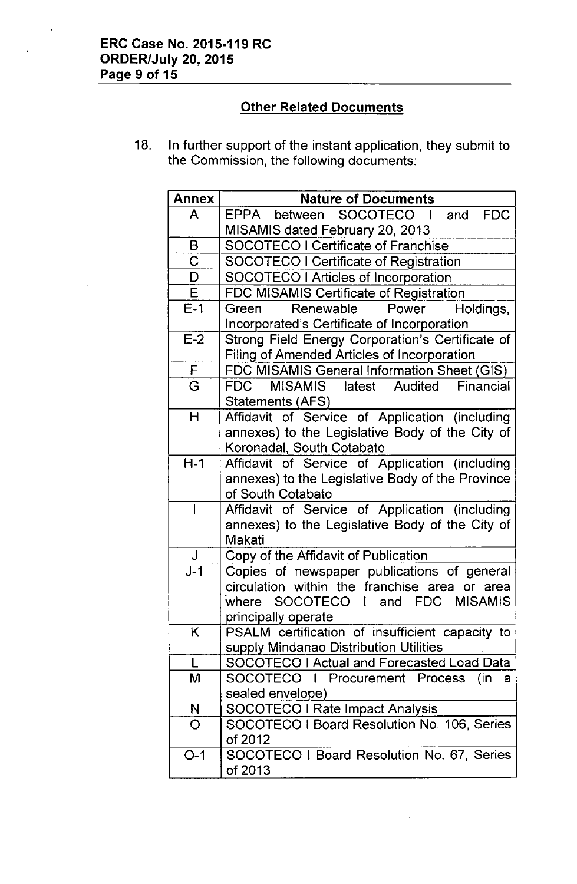# **Other Related Documents**

18. In further support of the instant application, they submit to the Commission, the following documents:

| <b>Annex</b>            | <b>Nature of Documents</b>                                                                |
|-------------------------|-------------------------------------------------------------------------------------------|
| A                       | EPPA between SOCOTECO I<br><b>FDC</b><br>and                                              |
|                         | MISAMIS dated February 20, 2013                                                           |
| B                       | <b>SOCOTECO I Certificate of Franchise</b>                                                |
| $\overline{\text{C}}$   | <b>SOCOTECO I Certificate of Registration</b>                                             |
| D                       | <b>SOCOTECO I Articles of Incorporation</b>                                               |
| $\mathsf E$             | FDC MISAMIS Certificate of Registration                                                   |
| $E-1$                   | Renewable<br>Power<br>Holdings,<br>Green                                                  |
|                         | Incorporated's Certificate of Incorporation                                               |
| $E-2$                   | Strong Field Energy Corporation's Certificate of                                          |
|                         | <b>Filing of Amended Articles of Incorporation</b>                                        |
| $\mathsf F$             | FDC MISAMIS General Information Sheet (GIS)                                               |
| $\overline{\mathsf{G}}$ | MISAMIS latest Audited Financial<br><b>FDC</b>                                            |
|                         | Statements (AFS)                                                                          |
| $\mathsf{H}$            | Affidavit of Service of Application (including                                            |
|                         | annexes) to the Legislative Body of the City of                                           |
|                         | Koronadal, South Cotabato                                                                 |
| $H-1$                   | Affidavit of Service of Application (including                                            |
|                         | annexes) to the Legislative Body of the Province                                          |
|                         | of South Cotabato                                                                         |
| I                       | Affidavit of Service of Application (including                                            |
|                         | annexes) to the Legislative Body of the City of                                           |
|                         | Makati                                                                                    |
| $\sf J$                 | Copy of the Affidavit of Publication                                                      |
| $J-1$                   | Copies of newspaper publications of general                                               |
|                         | circulation within the franchise<br>or<br>area<br>area                                    |
|                         | where SOCOTECO I and FDC MISAMIS                                                          |
| K.                      | principally operate                                                                       |
|                         | PSALM certification of insufficient capacity to<br>supply Mindanao Distribution Utilities |
| L                       | SOCOTECO I Actual and Forecasted Load Data                                                |
| M                       | SOCOTECO I Procurement Process<br>(in<br>a                                                |
|                         | sealed envelope)                                                                          |
| N                       | <b>SOCOTECO I Rate Impact Analysis</b>                                                    |
| O                       | SOCOTECO I Board Resolution No. 106, Series                                               |
|                         | of 2012                                                                                   |
| $O-1$                   | SOCOTECO I Board Resolution No. 67, Series                                                |
|                         | of 2013                                                                                   |

 $\bar{z}$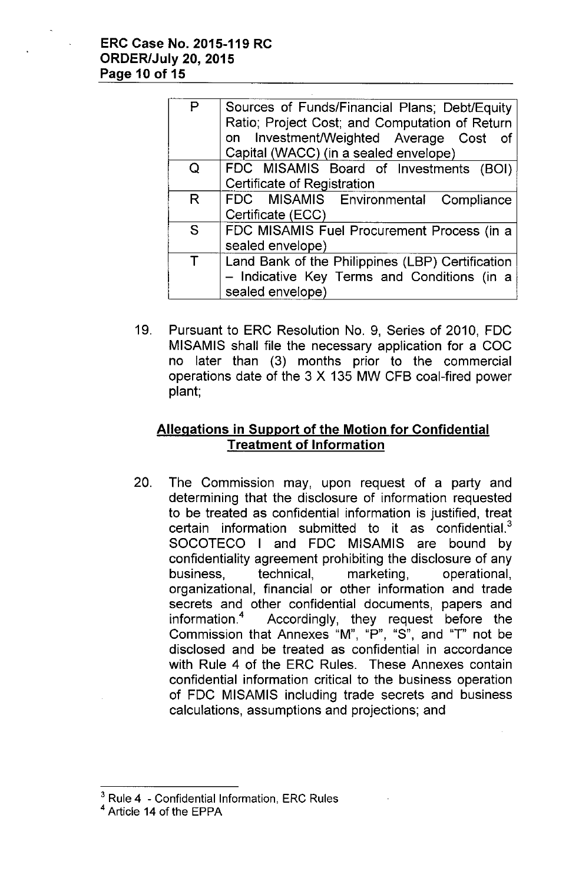| P      | Sources of Funds/Financial Plans; Debt/Equity<br>Ratio; Project Cost; and Computation of Return<br>on Investment/Weighted Average Cost<br>of<br>Capital (WACC) (in a sealed envelope) |
|--------|---------------------------------------------------------------------------------------------------------------------------------------------------------------------------------------|
| Q      | FDC MISAMIS Board of Investments (BOI)                                                                                                                                                |
|        | Certificate of Registration                                                                                                                                                           |
| R      | FDC MISAMIS Environmental Compliance                                                                                                                                                  |
|        | Certificate (ECC)                                                                                                                                                                     |
| S      | FDC MISAMIS Fuel Procurement Process (in a                                                                                                                                            |
|        | sealed envelope)                                                                                                                                                                      |
| $\top$ | Land Bank of the Philippines (LBP) Certification                                                                                                                                      |
|        | - Indicative Key Terms and Conditions (in a                                                                                                                                           |
|        | sealed envelope)                                                                                                                                                                      |

19. Pursuant to ERC Resolution No. 9, Series of 2010, FDC MISAMIS shall file the necessary application for a COC no later than (3) months prior to the commercial operations date of the 3 X 135 MW CFB coal-fired power plant;

# **Allegations in Support of the Motion for Confidential Treatment of Information**

20. The Commission may, upon request of a party and determining that the disclosure of information requested to be treated as confidential information is justified, treat certain information submitted to it as confidential. $3$ SOCOTECO I and FOC MISAMIS are bound by confidentiality agreement prohibiting the disclosure of any business, technical, marketing, operational, organizational, financial or other information and trade secrets and other confidential documents, papers and information.<sup>4</sup> Accordingly, they request before the Commission that Annexes "M", "P", "S", and "T" not be disclosed and be treated as confidential in accordance with Rule 4 of the ERC Rules. These Annexes contain confidential information critical to the business operation of FOC MISAMIS including trade secrets and business calculations, assumptions and projections; and

 $3$  Rule 4 - Confidential Information, ERC Rules

<sup>4</sup> Article 14 of the EPPA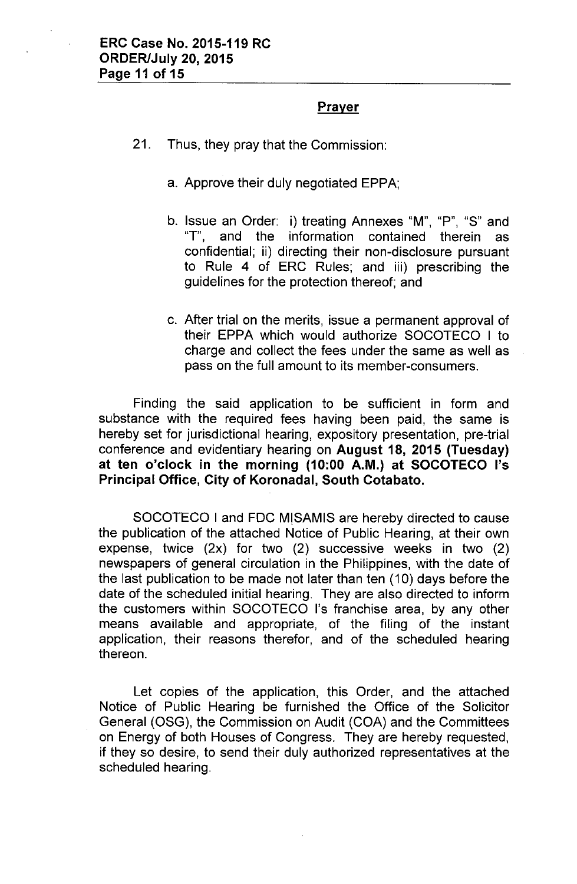### **Prayer**

- 21. Thus, they pray that the Commission:
	- a. Approve their duly negotiated EPPA;
	- b. Issue an Order: i) treating Annexes "M", "P", "S" and "T", and the information contained therein as confidential; ii) directing their non-disclosure pursuant to Rule 4 of ERC Rules; and iii) prescribing the guidelines for the protection thereof; and
	- c. After trial on the merits, issue a permanent approval of their EPPA which would authorize SOCOTECO I to charge and collect the fees under the same as well as pass on the full amount to its member-consumers.

Finding the said application to be sufficient in form and substance with the required fees having been paid, the same is hereby set for jurisdictional hearing, expository presentation, pre-trial conference and evidentiary hearing on **August 18, 2015 (Tuesday) at ten o'clock in the morning (10:00 A.M.) at SOCOTECO I's Principal Office, City of Koronadal, South Cotabato.**

SOCOTECO I and FOC M!SAMIS are hereby directed to cause the publication of the attached Notice of Public Hearing, at their own expense, twice (2x) for two (2) successive weeks in two (2) newspapers of general circulation in the Philippines, with the date of the last publication to be made not later than ten (10) days before the date of the scheduled initial hearing. They are also directed to inform the customers within SOCOTECO I's franchise area, by any other means available and appropriate, of the filing of the instant application, their reasons therefor, and of the scheduled hearing thereon.

Let copies of the application, this Order, and the attached Notice of Public Hearing be furnished the Office of the Solicitor General (OSG), the Commission on Audit (COA) and the Committees on Energy of both Houses of Congress. They are hereby requested, if they so desire, to send their duly authorized representatives at the scheduled hearing.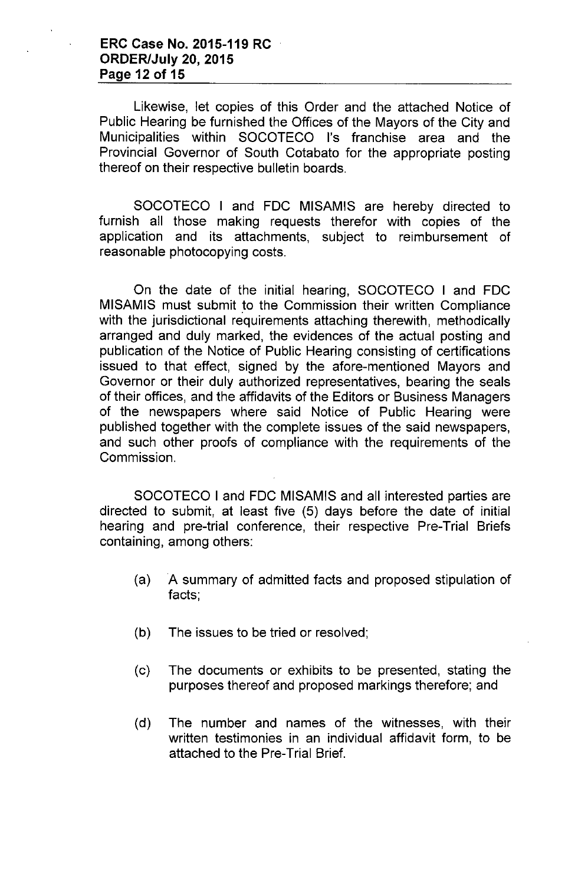### **ERC Case No. 2015-119 RC ORDER/July 20, 2015 Page 12 of 15**

Likewise, let copies of this Order and the attached Notice of Public Hearing be furnished the Offices of the Mayors of the City and Municipalities within SOCOTECO I's franchise area and the Provincial Governor of South Cotabato for the appropriate posting thereof on their respective bulletin boards.

SOCOTECO I and FOC MISAMIS are hereby directed to furnish all those making requests therefor with copies of the application and its attachments, subject to reimbursement of reasonable photocopying costs.

On the date of the initial hearing, SOCOTECO I and FOC MISAMIS must submit to the Commission their written Compliance with the jurisdictional requirements attaching therewith, methodically arranged and duly marked, the evidences of the actual posting and publication of the Notice of Public Hearing consisting of certifications issued to that effect, signed by the afore-mentioned Mayors and Governor or their duly authorized representatives, bearing the seals of their offices, and the affidavits of the Editors or Business Managers of the newspapers where said Notice of Public Hearing were published together with the complete issues of the said newspapers, and such other proofs of compliance with the requirements of the Commission.

SOCOTECO I and FOC MISAMIS and all interested parties are directed to submit, at least five (5) days before the date of initial hearing and pre-trial conference, their respective Pre-Trial Briefs containing, among others:

- (a) A summary of admitted facts and proposed stipulation of facts;
- (b) The issues to be tried or resolved;
- (c) The documents or exhibits to be presented, stating the purposes thereof and proposed markings therefore; and
- (d) The number and names of the witnesses, with their written testimonies in an individual affidavit form, to be attached to the Pre-Trial Brief.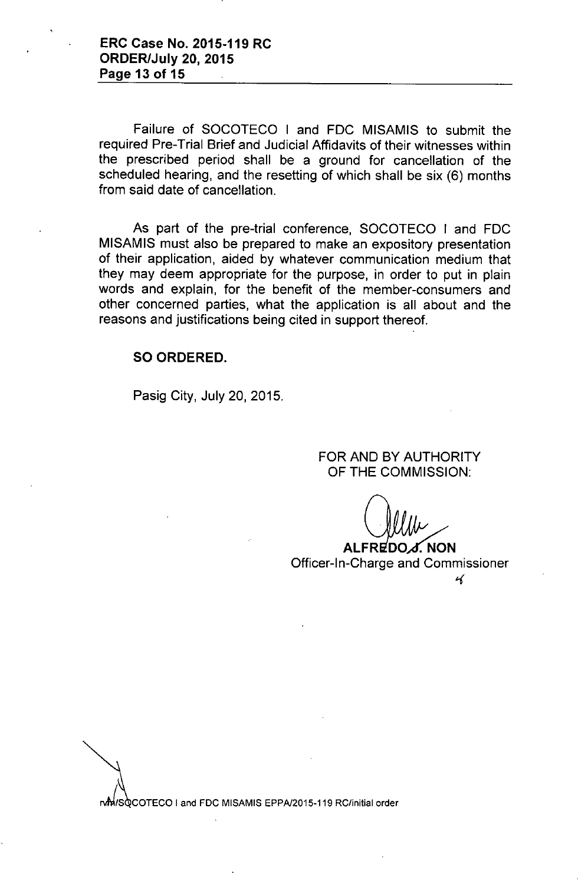Failure of SOCOTECO I and FOC MISAMIS to submit the required Pre-Trial Brief and Judicial Affidavits of their witnesses within the prescribed period shall be a ground for cancellation of the scheduled hearing, and the resetting of which shall be six (6) months from said date of cancellation.

As part of the pre-trial conference, SOCOTECO I and FDC MISAMIS must also be prepared to make an expository presentation of their application, aided by whatever communication medium that they may deem appropriate for the purpose, in order to put in plain words and explain, for the benefit of the member-consumers and other concerned parties, what the application is all about and the reasons and justifications being cited in support thereof.

#### SO ORDERED.

Pasig City, July 20,2015.

FOR AND BY AUTHORITY OF THE COMMISSION:

 $F$ REDO $\Lambda$ . NON

Officer-In-Charge and Commissioner *t-(*

rom /s COTECO I and FDC MISAMIS EPPA/2015-119 RC/initial order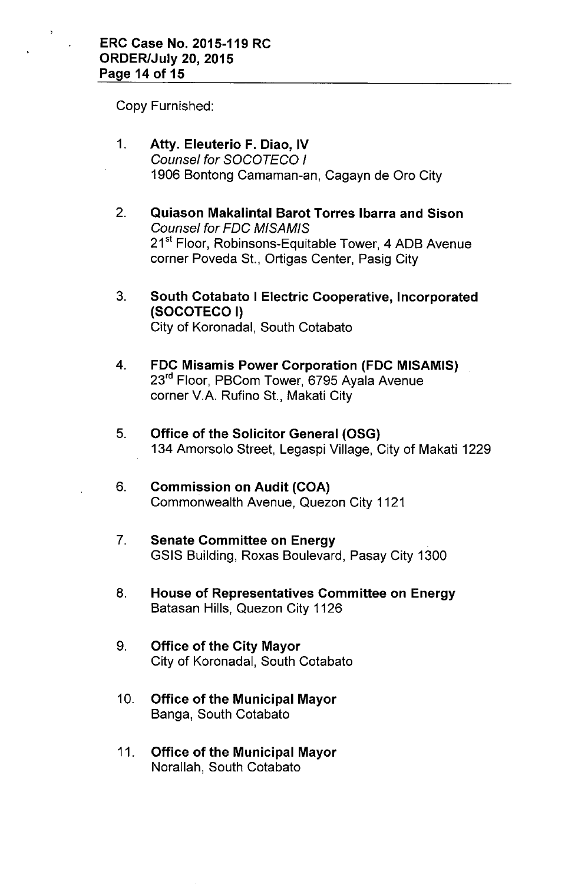Copy Furnished:

- 1. **Atty. Eleuterio F. Diao, IV** *Counsel for SOCOTECO I* 1906 Bontong Camaman-an, Cagayn de Oro City
- 2. **Quiason Makalintal Barot Torres Ibarra and Sison** *Counsel for FOC MISAMIS* 21<sup>st</sup> Floor, Robinsons-Equitable Tower, 4 ADB Avenue corner Poveda St., Ortigas Center, Pasig City
- 3. **South Cotabato I Electric Cooperative, Incorporated (SOCOTECO I)** City **of** Koronadal, South Cotabato
- 4. **FDC Misamis Power Corporation (FDC MISAMIS)** 23<sup>rd</sup> Floor, PBCom Tower, 6795 Avala Avenue corner V.A. Rufino St., Makati City
- 5. **Office of the Solicitor General (OSG)** 134 Amorsolo Street, Legaspi Village, City of Makati 1229
- 6. **Commission on Audit (COA)** Commonwealth Avenue, Quezon City 1121
- 7. **Senate Committee on Energy** GSIS Building, Roxas Boulevard, Pasay City 1300
- 8. **House of Representatives Committee on Energy** Batasan Hills, Quezon City 1126
- 9. **Office of the City Mayor** City of Koronadal, South Cotabato
- 10. **Office of the Municipal Mayor** Banga, South Cotabato
- 11. **Office of the Municipal Mayor** Norallah, South Cotabato